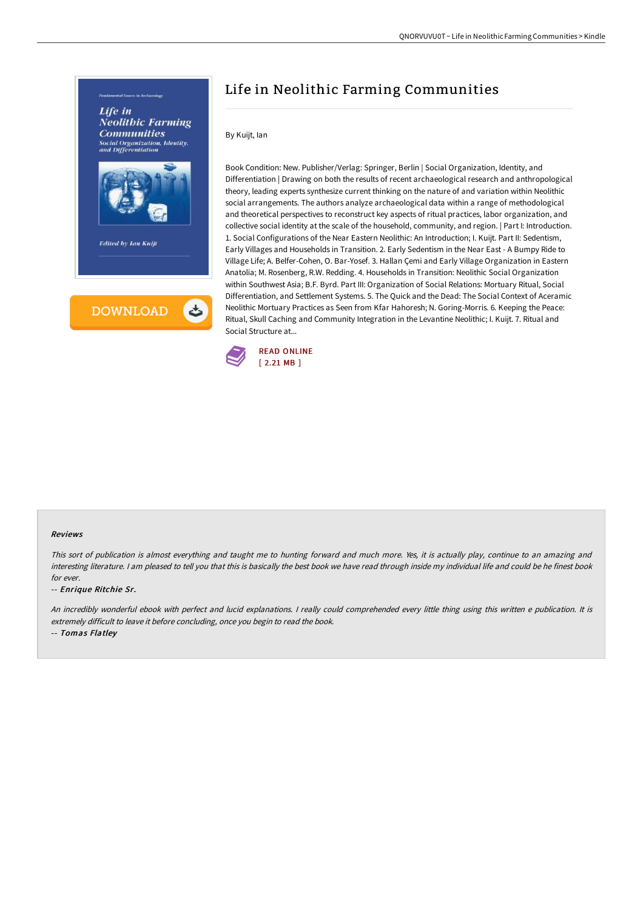

Book Condition: New. Publisher/Verlag: Springer, Berlin | Social Organization, Identity, and Differentiation | Drawing on both the results of recent archaeological research and anthropological theory, leading experts synthesize current thinking on the nature of and variation within Neolithic social arrangements. The authors analyze archaeological data within a range of methodological and theoretical perspectives to reconstruct key aspects of ritual practices, labor organization, and collective social identity at the scale of the household, community, and region. | Part I: Introduction. 1. Social Configurations of the Near Eastern Neolithic: An Introduction; I. Kuijt. Part II: Sedentism, Early Villages and Households in Transition. 2. Early Sedentism in the Near East - A Bumpy Ride to Village Life; A. Belfer-Cohen, O. Bar-Yosef. 3. Hallan Çemi and Early Village Organization in Eastern Anatolia; M. Rosenberg, R.W. Redding. 4. Households in Transition: Neolithic Social Organization within Southwest Asia; B.F. Byrd. Part III: Organization of Social Relations: Mortuary Ritual, Social Differentiation, and Settlement Systems. 5. The Quick and the Dead: The Social Context of Aceramic Neolithic Mortuary Practices as Seen from Kfar Hahoresh; N. Goring-Morris. 6. Keeping the Peace: Ritual, Skull Caching and Community Integration in the Levantine Neolithic; I. Kuijt. 7. Ritual and Social Structure at...

Life in Neolithic Farming Communities



By Kuijt, Ian

#### Reviews

This sort of publication is almost everything and taught me to hunting forward and much more. Yes, it is actually play, continue to an amazing and interesting literature. <sup>I</sup> am pleased to tell you that this is basically the best book we have read through inside my individual life and could be he finest book for ever.

-- Enrique Ritchie Sr.

An incredibly wonderful ebook with perfect and lucid explanations. <sup>I</sup> really could comprehended every little thing using this written <sup>e</sup> publication. It is extremely difficult to leave it before concluding, once you begin to read the book.

-- Tomas Flatley